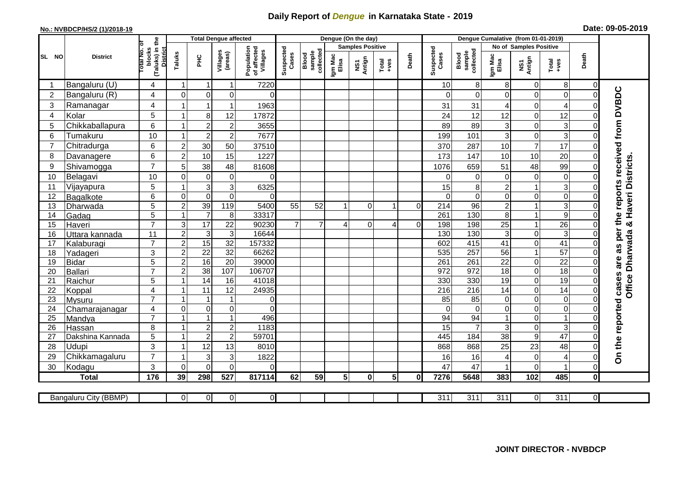## **Daily Report of** *Dengue* **in Karnataka State - 2019**

## **No.: NVBDCP/HS/2 (1)/2018-19 Date: 09-05-2019**

|                | <b>District</b>           |                                                       |                                       | <b>Total Dengue affected</b>       |                                      |                                       |                    |                              |                  | Dengue (On the day)     |                                                              |                |                    |                              |                  |                                      |                      |                            |                                            |
|----------------|---------------------------|-------------------------------------------------------|---------------------------------------|------------------------------------|--------------------------------------|---------------------------------------|--------------------|------------------------------|------------------|-------------------------|--------------------------------------------------------------|----------------|--------------------|------------------------------|------------------|--------------------------------------|----------------------|----------------------------|--------------------------------------------|
|                |                           |                                                       |                                       |                                    |                                      |                                       |                    |                              |                  | <b>Samples Positive</b> |                                                              |                |                    |                              |                  | No of Samples Positive               |                      |                            |                                            |
| SL NO          |                           | (Taluks) in the<br>District<br>lotal No. ol<br>blocks | Taluks                                | Ξ                                  | Villages<br>(areas)                  | Population<br>of affected<br>Villages | Suspected<br>Cases | Blood<br>sample<br>collected | Igm Mac<br>Elisa | NS1<br>Antign           | $\begin{array}{c}\n\text{Total} \\ \text{+ves}\n\end{array}$ | Death          | Suspected<br>Cases | collected<br>sample<br>Blood | Igm Mac<br>Elisa | NS1<br>Antign                        | Total<br>+ves        | Death                      |                                            |
|                | Bangaluru (U)             | 4                                                     | 1                                     | $\mathbf 1$                        | $\mathbf{1}$                         | 7220                                  |                    |                              |                  |                         |                                                              |                | 10                 | 8                            | 8                | $\overline{0}$                       | 8                    | $\overline{0}$             |                                            |
| $\overline{2}$ | Bangaluru (R)             | $\overline{4}$                                        | $\mathbf 0$                           | $\mathbf 0$                        | 0                                    | $\Omega$                              |                    |                              |                  |                         |                                                              |                | $\Omega$           | $\Omega$                     | $\Omega$         | $\mathbf 0$                          | 0                    | $\mathbf 0$                | are as per the reports received from DVBDC |
| 3              | Ramanagar                 | $\overline{4}$                                        |                                       | $\mathbf{1}$                       | $\mathbf 1$                          | 1963                                  |                    |                              |                  |                         |                                                              |                | 31                 | 31                           | 4                | $\mathbf 0$                          | 4                    | $\Omega$                   |                                            |
| 4              | Kolar                     | 5                                                     | 1                                     | 8                                  | 12                                   | 17872                                 |                    |                              |                  |                         |                                                              |                | 24                 | 12                           | 12               | $\mathbf 0$                          | 12                   | $\mathbf 0$                |                                            |
| 5              | Chikkaballapura           | 6                                                     | 1                                     | $\overline{c}$                     | $\overline{\mathbf{c}}$              | 3655                                  |                    |                              |                  |                         |                                                              |                | 89                 | 89                           | 3                | $\mathbf 0$                          | 3                    | 0                          |                                            |
| 6              | Tumakuru                  | 10                                                    | $\mathbf{1}$                          | $\overline{c}$                     | $\mathbf 2$                          | 7677                                  |                    |                              |                  |                         |                                                              |                | 199                | 101                          | 3                | $\pmb{0}$                            | 3                    | 0                          |                                            |
| 7              | Chitradurga               | 6                                                     | $\overline{c}$                        | 30                                 | 50                                   | 37510                                 |                    |                              |                  |                         |                                                              |                | 370                | 287                          | 10               | $\overline{7}$                       | 17                   | 0                          |                                            |
| 8              | Davanagere                | 6                                                     | $\overline{2}$                        | 10                                 | 15                                   | 1227                                  |                    |                              |                  |                         |                                                              |                | 173                | 147                          | 10               | 10                                   | 20                   | $\mathbf 0$                |                                            |
| 9              | Shivamogga                | $\overline{7}$                                        | 5                                     | 38                                 | 48                                   | 81608                                 |                    |                              |                  |                         |                                                              |                | 1076               | 659                          | 51               | 48                                   | 99                   | 0                          | Haveri Districts                           |
| 10             | Belagavi                  | 10                                                    | $\mathbf 0$                           | $\mathbf 0$                        | $\mathbf 0$                          | $\Omega$                              |                    |                              |                  |                         |                                                              |                | 0                  | 0                            | $\Omega$         | $\mathbf 0$                          | 0                    | $\Omega$                   |                                            |
| 11             | Vijayapura                | 5                                                     | 1                                     | $\mathsf 3$                        | $\mathbf{3}$                         | 6325                                  |                    |                              |                  |                         |                                                              |                | 15                 | 8                            | $\overline{2}$   | $\mathbf{1}$                         | 3                    | 0                          |                                            |
| 12             | Bagalkote                 | 6                                                     | $\mathbf 0$                           | $\overline{0}$                     | $\mathbf 0$                          | $\Omega$                              |                    |                              |                  |                         |                                                              |                | $\Omega$           | $\Omega$                     | $\Omega$         | $\mathbf 0$                          | $\overline{0}$       | $\Omega$                   |                                            |
| 13             | Dharwada                  | $\overline{5}$                                        | $\overline{2}$                        | 39                                 | 119                                  | 5400                                  | 55                 | $\overline{52}$              |                  | $\mathbf 0$             |                                                              | $\overline{0}$ | $\overline{214}$   | $\overline{96}$              | $\overline{c}$   | $\mathbf{1}$                         | 3                    | 0                          |                                            |
| 14             | Gadag                     | 5                                                     | $\mathbf{1}$                          | $\overline{7}$                     | 8                                    | 33317                                 |                    |                              |                  |                         |                                                              |                | 261                | 130                          | 8                | $\mathbf{1}$                         | $\overline{9}$       | $\mathbf 0$                |                                            |
| 15             | Haveri                    | $\overline{7}$                                        | $\mathbf{3}$                          | $\overline{17}$                    | 22                                   | 90230                                 | $\overline{7}$     | $\overline{7}$               | Δ                | $\overline{0}$          | 4                                                            | 0              | 198                | 198                          | 25               | $\mathbf{1}$                         | $\overline{26}$      | 0                          | න්                                         |
| 16             | Uttara kannada            | 11                                                    | $\overline{2}$                        | $\sqrt{3}$                         | $\overline{3}$                       | 16644                                 |                    |                              |                  |                         |                                                              |                | 130                | 130                          | 3                | $\mathbf 0$                          | 3                    | $\mathbf 0$                | <b>Dharwada</b>                            |
| 17             | Kalaburagi                | $\overline{7}$                                        | $\overline{2}$                        | 15                                 | $\overline{32}$                      | 157332                                |                    |                              |                  |                         |                                                              |                | 602                | 415                          | $\overline{41}$  | $\overline{\mathsf{o}}$              | 41                   | $\overline{0}$             |                                            |
| 18             | Yadageri                  | 3                                                     | $\overline{c}$                        | 22                                 | 32                                   | 66262                                 |                    |                              |                  |                         |                                                              |                | 535                | 257                          | 56               | $\mathbf{1}$                         | 57                   | $\Omega$                   |                                            |
| 19             | <b>Bidar</b>              | 5                                                     | $\overline{2}$                        | 16                                 | $\overline{20}$                      | 39000                                 |                    |                              |                  |                         |                                                              |                | 261                | 261                          | $\overline{22}$  | $\mathbf 0$                          | $\overline{22}$      | $\mathbf 0$                |                                            |
| 20             | Ballari                   | $\overline{7}$                                        | $\overline{2}$                        | 38                                 | 107                                  | 106707                                |                    |                              |                  |                         |                                                              |                | 972                | 972                          | 18               | $\pmb{0}$                            | $\overline{18}$      | 0                          |                                            |
| 21             | Raichur                   | 5                                                     | $\mathbf{1}$                          | 14                                 | 16                                   | 41018                                 |                    |                              |                  |                         |                                                              |                | 330                | 330                          | $\overline{19}$  | $\overline{0}$                       | 19                   | $\mathbf 0$                | <b>Office</b>                              |
| 22             | Koppal                    | $\overline{4}$                                        | 1                                     | 11                                 | 12                                   | 24935                                 |                    |                              |                  |                         |                                                              |                | 216                | 216                          | 14               | $\mathbf 0$                          | 14                   | $\mathsf{O}\xspace$        |                                            |
| 23             | Mysuru                    | $\overline{7}$                                        | $\mathbf{1}$                          | $\mathbf{1}$                       | $\mathbf{1}$                         | $\Omega$                              |                    |                              |                  |                         |                                                              |                | 85                 | 85                           | $\Omega$         | $\mathbf 0$                          | 0                    | $\overline{\mathsf{o}}$    |                                            |
| 24             | Chamarajanagar            | $\overline{4}$<br>$\overline{7}$                      | $\mathsf{O}\xspace$<br>$\overline{1}$ | $\boldsymbol{0}$                   | $\mathsf{O}\xspace$                  | $\Omega$                              |                    |                              |                  |                         |                                                              |                | $\Omega$           | $\mathbf 0$                  | 0                | $\pmb{0}$                            | $\overline{0}$<br>1  | 0                          |                                            |
| 25             | Mandya                    | 8                                                     | $\mathbf{1}$                          | $\overline{1}$                     | $\overline{1}$                       | 496                                   |                    |                              |                  |                         |                                                              |                | 94                 | 94<br>7                      |                  | $\mathbf 0$                          |                      | 0                          |                                            |
| 26             | Hassan                    | 5                                                     | $\mathbf{1}$                          | $\boldsymbol{2}$<br>$\overline{2}$ | $\boldsymbol{2}$<br>$\boldsymbol{2}$ | 1183<br>59701                         |                    |                              |                  |                         |                                                              |                | 15<br>445          | 184                          | 3<br>38          | $\boldsymbol{0}$<br>$\boldsymbol{9}$ | 3<br>$\overline{47}$ | $\mathbf 0$<br>$\mathbf 0$ |                                            |
| 27<br>28       | Dakshina Kannada<br>Udupi | 3                                                     | 1                                     | 12                                 | 13                                   | 8010                                  |                    |                              |                  |                         |                                                              |                | 868                | 868                          | 25               | 23                                   | 48                   | $\overline{0}$             |                                            |
| 29             | Chikkamagaluru            | $\overline{7}$                                        | $\mathbf{1}$                          | 3                                  | 3                                    | 1822                                  |                    |                              |                  |                         |                                                              |                | 16                 | 16                           | 4                | $\mathbf 0$                          | 4                    | 0                          | On the reported cases                      |
| 30             | Kodagu                    | 3                                                     | $\Omega$                              | $\Omega$                           | $\Omega$                             | $\Omega$                              |                    |                              |                  |                         |                                                              |                | 47                 | 47                           |                  | $\mathbf 0$                          |                      | $\mathbf 0$                |                                            |
|                | <b>Total</b>              | 176                                                   | 39                                    | 298                                | 527                                  | 817114                                | 62                 | 59                           | 5 <sup>1</sup>   | $\mathbf{0}$            | 5 <sub>l</sub>                                               | 0              | 7276               | 5648                         | 383              | 102                                  | 485                  | $\mathbf 0$                |                                            |
|                |                           |                                                       |                                       |                                    |                                      |                                       |                    |                              |                  |                         |                                                              |                |                    |                              |                  |                                      |                      |                            |                                            |
|                | Bangaluru City (BBMP)     |                                                       | $\overline{0}$                        | $\overline{0}$                     | $\overline{0}$                       | $\overline{0}$                        |                    |                              |                  |                         |                                                              |                | 311                | 311                          | 311              | $\overline{0}$                       | 311                  | $\overline{0}$             |                                            |